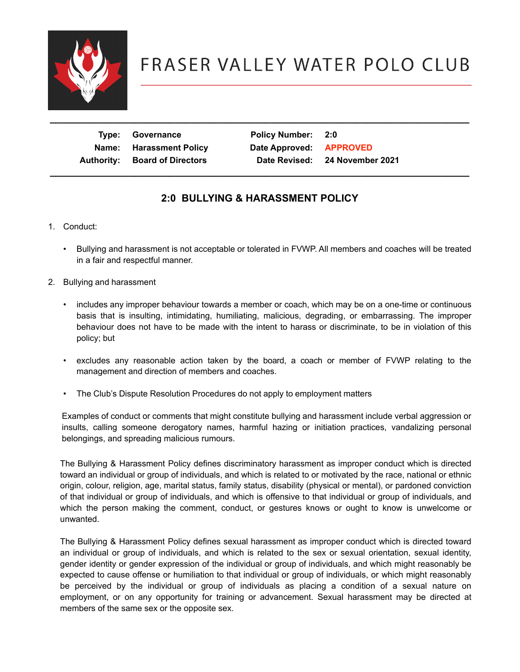

 **Type: Governance Policy Number: 2:0** Name: Harassment Policy **Date Approved: APPROVED Authority: Board of Directors Date Revised: 24 November 2021** 

### **2:0 BULLYING & HARASSMENT POLICY**

 **\_\_\_\_\_\_\_\_\_\_\_\_\_\_\_\_\_\_\_\_\_\_\_\_\_\_\_\_\_\_\_\_\_\_\_\_\_\_\_\_\_\_\_\_\_\_\_\_\_\_\_\_\_\_\_\_\_\_\_\_\_\_\_\_\_\_\_\_\_\_\_\_\_\_**

- 1. Conduct:
	- Bullying and harassment is not acceptable or tolerated in FVWP. All members and coaches will be treated in a fair and respectful manner.
- 2. Bullying and harassment
	- includes any improper behaviour towards a member or coach, which may be on a one-time or continuous basis that is insulting, intimidating, humiliating, malicious, degrading, or embarrassing. The improper behaviour does not have to be made with the intent to harass or discriminate, to be in violation of this policy; but
	- excludes any reasonable action taken by the board, a coach or member of FVWP relating to the management and direction of members and coaches.
	- The Club's Dispute Resolution Procedures do not apply to employment matters

Examples of conduct or comments that might constitute bullying and harassment include verbal aggression or insults, calling someone derogatory names, harmful hazing or initiation practices, vandalizing personal belongings, and spreading malicious rumours.

The Bullying & Harassment Policy defines discriminatory harassment as improper conduct which is directed toward an individual or group of individuals, and which is related to or motivated by the race, national or ethnic origin, colour, religion, age, marital status, family status, disability (physical or mental), or pardoned conviction of that individual or group of individuals, and which is offensive to that individual or group of individuals, and which the person making the comment, conduct, or gestures knows or ought to know is unwelcome or unwanted.

The Bullying & Harassment Policy defines sexual harassment as improper conduct which is directed toward an individual or group of individuals, and which is related to the sex or sexual orientation, sexual identity, gender identity or gender expression of the individual or group of individuals, and which might reasonably be expected to cause offense or humiliation to that individual or group of individuals, or which might reasonably be perceived by the individual or group of individuals as placing a condition of a sexual nature on employment, or on any opportunity for training or advancement. Sexual harassment may be directed at members of the same sex or the opposite sex.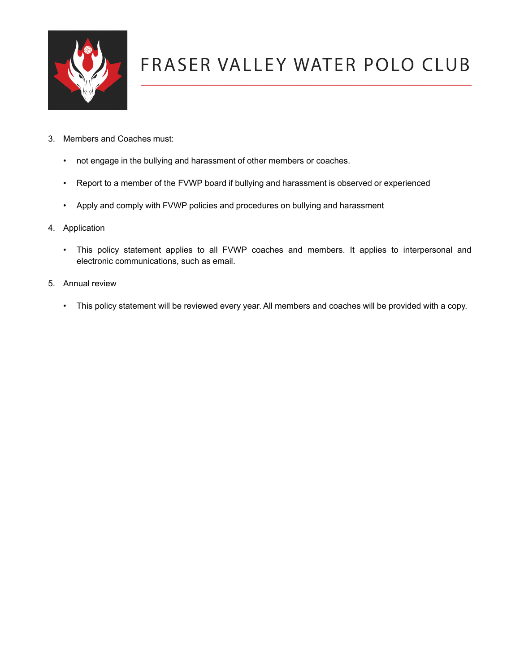

- 3. Members and Coaches must:
	- not engage in the bullying and harassment of other members or coaches.
	- Report to a member of the FVWP board if bullying and harassment is observed or experienced
	- Apply and comply with FVWP policies and procedures on bullying and harassment
- 4. Application
	- This policy statement applies to all FVWP coaches and members. It applies to interpersonal and electronic communications, such as email.
- 5. Annual review
	- This policy statement will be reviewed every year. All members and coaches will be provided with a copy.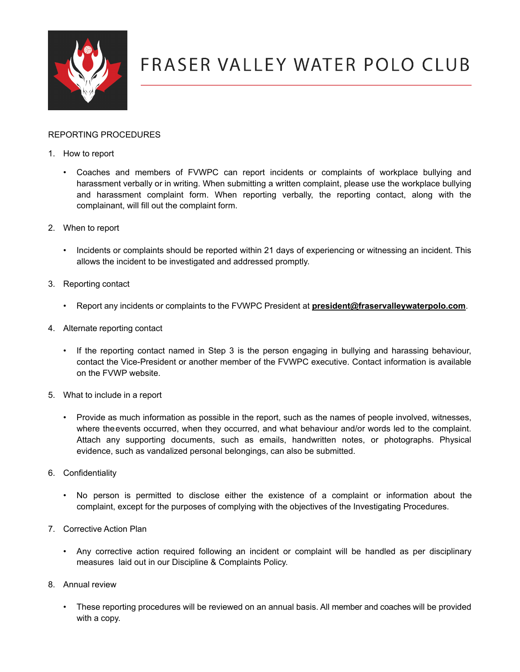

### REPORTING PROCEDURES

- 1. How to report
	- Coaches and members of FVWPC can report incidents or complaints of workplace bullying and harassment verbally or in writing. When submitting a written complaint, please use the workplace bullying and harassment complaint form. When reporting verbally, the reporting contact, along with the complainant, will fill out the complaint form.
- 2. When to report
	- Incidents or complaints should be reported within 21 days of experiencing or witnessing an incident. This allows the incident to be investigated and addressed promptly.
- 3. Reporting contact
	- Report any incidents or complaints to the FVWPC President at **[president@fraservalleywaterpolo.com](mailto:president@fraservalleywaterpolo.com)**.
- 4. Alternate reporting contact
	- If the reporting contact named in Step 3 is the person engaging in bullying and harassing behaviour, contact the Vice-President or another member of the FVWPC executive. Contact information is available on the FVWP website.
- 5. What to include in a report
	- Provide as much information as possible in the report, such as the names of people involved, witnesses, where theevents occurred, when they occurred, and what behaviour and/or words led to the complaint. Attach any supporting documents, such as emails, handwritten notes, or photographs. Physical evidence, such as vandalized personal belongings, can also be submitted.
- 6. Confidentiality
	- No person is permitted to disclose either the existence of a complaint or information about the complaint, except for the purposes of complying with the objectives of the Investigating Procedures.
- 7. Corrective Action Plan
	- Any corrective action required following an incident or complaint will be handled as per disciplinary measures laid out in our Discipline & Complaints Policy.
- 8. Annual review
	- These reporting procedures will be reviewed on an annual basis. All member and coaches will be provided with a copy.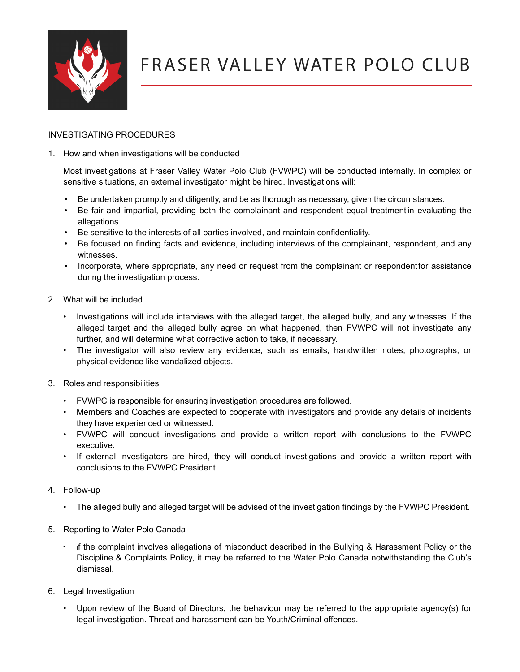

#### INVESTIGATING PROCEDURES

1. How and when investigations will be conducted

Most investigations at Fraser Valley Water Polo Club (FVWPC) will be conducted internally. In complex or sensitive situations, an external investigator might be hired. Investigations will:

- Be undertaken promptly and diligently, and be as thorough as necessary, given the circumstances.
- Be fair and impartial, providing both the complainant and respondent equal treatment in evaluating the allegations.
- Be sensitive to the interests of all parties involved, and maintain confidentiality.
- Be focused on finding facts and evidence, including interviews of the complainant, respondent, and any witnesses.
- Incorporate, where appropriate, any need or request from the complainant or respondentfor assistance during the investigation process.
- 2. What will be included
	- Investigations will include interviews with the alleged target, the alleged bully, and any witnesses. If the alleged target and the alleged bully agree on what happened, then FVWPC will not investigate any further, and will determine what corrective action to take, if necessary.
	- The investigator will also review any evidence, such as emails, handwritten notes, photographs, or physical evidence like vandalized objects.
- 3. Roles and responsibilities
	- FVWPC is responsible for ensuring investigation procedures are followed.
	- Members and Coaches are expected to cooperate with investigators and provide any details of incidents they have experienced or witnessed.
	- FVWPC will conduct investigations and provide a written report with conclusions to the FVWPC executive.
	- If external investigators are hired, they will conduct investigations and provide a written report with conclusions to the FVWPC President.
- 4. Follow-up
	- The alleged bully and alleged target will be advised of the investigation findings by the FVWPC President.
- 5. Reporting to Water Polo Canada
	- If the complaint involves allegations of misconduct described in the Bullying & Harassment Policy or the Discipline & Complaints Policy, it may be referred to the Water Polo Canada notwithstanding the Club's dismissal.
- 6. Legal Investigation
	- Upon review of the Board of Directors, the behaviour may be referred to the appropriate agency(s) for legal investigation. Threat and harassment can be Youth/Criminal offences.